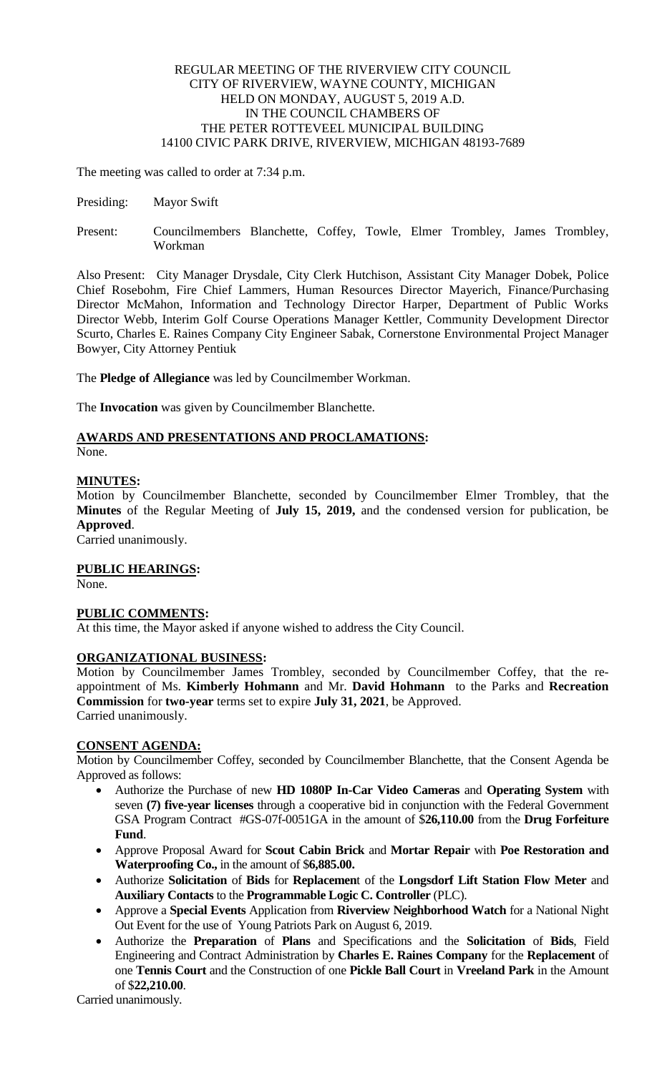## REGULAR MEETING OF THE RIVERVIEW CITY COUNCIL CITY OF RIVERVIEW, WAYNE COUNTY, MICHIGAN HELD ON MONDAY, AUGUST 5, 2019 A.D. IN THE COUNCIL CHAMBERS OF THE PETER ROTTEVEEL MUNICIPAL BUILDING 14100 CIVIC PARK DRIVE, RIVERVIEW, MICHIGAN 48193-7689

The meeting was called to order at 7:34 p.m.

- Presiding: Mayor Swift
- Present: Councilmembers Blanchette, Coffey, Towle, Elmer Trombley, James Trombley, Workman

Also Present: City Manager Drysdale, City Clerk Hutchison, Assistant City Manager Dobek, Police Chief Rosebohm, Fire Chief Lammers, Human Resources Director Mayerich, Finance/Purchasing Director McMahon, Information and Technology Director Harper, Department of Public Works Director Webb, Interim Golf Course Operations Manager Kettler, Community Development Director Scurto, Charles E. Raines Company City Engineer Sabak, Cornerstone Environmental Project Manager Bowyer, City Attorney Pentiuk

The **Pledge of Allegiance** was led by Councilmember Workman.

The **Invocation** was given by Councilmember Blanchette.

# **AWARDS AND PRESENTATIONS AND PROCLAMATIONS:**

None.

## **MINUTES:**

Motion by Councilmember Blanchette, seconded by Councilmember Elmer Trombley, that the **Minutes** of the Regular Meeting of **July 15, 2019,** and the condensed version for publication, be **Approved**.

Carried unanimously.

## **PUBLIC HEARINGS:**

None.

## **PUBLIC COMMENTS:**

At this time, the Mayor asked if anyone wished to address the City Council.

## **ORGANIZATIONAL BUSINESS:**

Motion by Councilmember James Trombley, seconded by Councilmember Coffey, that the reappointment of Ms. **Kimberly Hohmann** and Mr. **David Hohmann** to the Parks and **Recreation Commission** for **two-year** terms set to expire **July 31, 2021**, be Approved. Carried unanimously.

## **CONSENT AGENDA:**

Motion by Councilmember Coffey, seconded by Councilmember Blanchette, that the Consent Agenda be Approved as follows:

- Authorize the Purchase of new **HD 1080P In-Car Video Cameras** and **Operating System** with seven **(7) five-year licenses** through a cooperative bid in conjunction with the Federal Government GSA Program Contract #GS-07f-0051GA in the amount of \$**26,110.00** from the **Drug Forfeiture Fund**.
- Approve Proposal Award for **Scout Cabin Brick** and **Mortar Repair** with **Poe Restoration and Waterproofing Co.,** in the amount of \$**6,885.00.**
- Authorize **Solicitation** of **Bids** for **Replacemen**t of the **Longsdorf Lift Station Flow Meter** and **Auxiliary Contacts** to the **Programmable Logic C. Controller** (PLC).
- Approve a **Special Events** Application from **Riverview Neighborhood Watch** for a National Night Out Event for the use of Young Patriots Park on August 6, 2019.
- Authorize the **Preparation** of **Plans** and Specifications and the **Solicitation** of **Bids**, Field Engineering and Contract Administration by **Charles E. Raines Company** for the **Replacement** of one **Tennis Court** and the Construction of one **Pickle Ball Court** in **Vreeland Park** in the Amount of \$**22,210.00**.

Carried unanimously.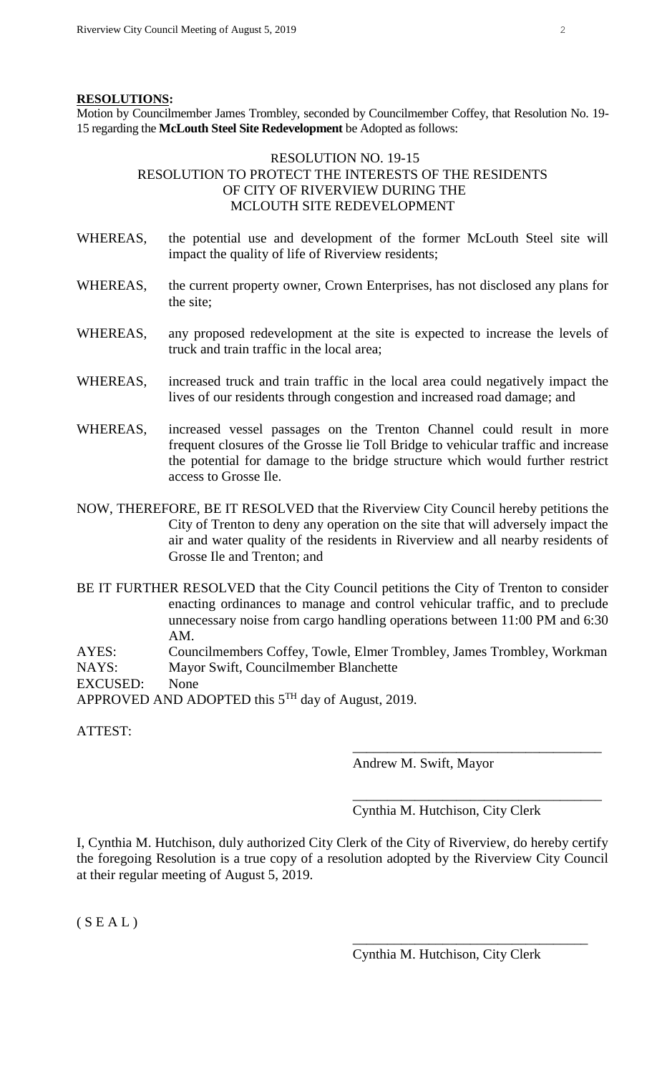#### **RESOLUTIONS:**

Motion by Councilmember James Trombley, seconded by Councilmember Coffey, that Resolution No. 19- 15 regarding the **McLouth Steel Site Redevelopment** be Adopted as follows:

# RESOLUTION NO. 19-15 RESOLUTION TO PROTECT THE INTERESTS OF THE RESIDENTS OF CITY OF RIVERVIEW DURING THE MCLOUTH SITE REDEVELOPMENT

- WHEREAS, the potential use and development of the former McLouth Steel site will impact the quality of life of Riverview residents;
- WHEREAS, the current property owner, Crown Enterprises, has not disclosed any plans for the site;
- WHEREAS, any proposed redevelopment at the site is expected to increase the levels of truck and train traffic in the local area;
- WHEREAS, increased truck and train traffic in the local area could negatively impact the lives of our residents through congestion and increased road damage; and
- WHEREAS, increased vessel passages on the Trenton Channel could result in more frequent closures of the Grosse lie Toll Bridge to vehicular traffic and increase the potential for damage to the bridge structure which would further restrict access to Grosse Ile.
- NOW, THEREFORE, BE IT RESOLVED that the Riverview City Council hereby petitions the City of Trenton to deny any operation on the site that will adversely impact the air and water quality of the residents in Riverview and all nearby residents of Grosse Ile and Trenton; and
- BE IT FURTHER RESOLVED that the City Council petitions the City of Trenton to consider enacting ordinances to manage and control vehicular traffic, and to preclude unnecessary noise from cargo handling operations between 11:00 PM and 6:30 AM.

AYES: Councilmembers Coffey, Towle, Elmer Trombley, James Trombley, Workman NAYS: Mayor Swift, Councilmember Blanchette

EXCUSED: None

APPROVED AND ADOPTED this  $5<sup>TH</sup>$  day of August, 2019.

ATTEST:

Andrew M. Swift, Mayor

\_\_\_\_\_\_\_\_\_\_\_\_\_\_\_\_\_\_\_\_\_\_\_\_\_\_\_\_\_\_\_\_\_\_\_\_ Cynthia M. Hutchison, City Clerk

\_\_\_\_\_\_\_\_\_\_\_\_\_\_\_\_\_\_\_\_\_\_\_\_\_\_\_\_\_\_\_\_\_\_\_\_

I, Cynthia M. Hutchison, duly authorized City Clerk of the City of Riverview, do hereby certify the foregoing Resolution is a true copy of a resolution adopted by the Riverview City Council at their regular meeting of August 5, 2019.

 $(S E A L)$ 

Cynthia M. Hutchison, City Clerk

\_\_\_\_\_\_\_\_\_\_\_\_\_\_\_\_\_\_\_\_\_\_\_\_\_\_\_\_\_\_\_\_\_\_